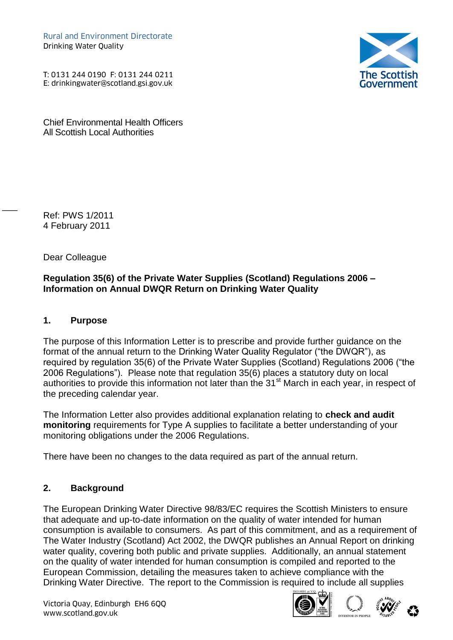Rural and Environment Directorate Drinking Water Quality Rural and Environment Directorate<br>Drinking Water Quality<br>T: 0131 244 0190 F: 0131 244 0211<br>E: drinkingwater@scotland.gsi.gov.uk

T: 0131 244 0190 F: 0131 244 0211



Chief Environmental Health Officers All Scottish Local Authorities

Ref: PWS 1/2011 4 February 2011

 $\overline{\phantom{a}}$ 

Dear Colleague

#### **Regulation 35(6) of the Private Water Supplies (Scotland) Regulations 2006 – Information on Annual DWQR Return on Drinking Water Quality**

### **1. Purpose**

The purpose of this Information Letter is to prescribe and provide further guidance on the format of the annual return to the Drinking Water Quality Regulator ("the DWQR"), as required by regulation 35(6) of the Private Water Supplies (Scotland) Regulations 2006 ("the 2006 Regulations"). Please note that regulation 35(6) places a statutory duty on local authorities to provide this information not later than the 31<sup>st</sup> March in each year, in respect of the preceding calendar year.

The Information Letter also provides additional explanation relating to **check and audit monitoring** requirements for Type A supplies to facilitate a better understanding of your monitoring obligations under the 2006 Regulations.

There have been no changes to the data required as part of the annual return.

#### **2. Background**

The European Drinking Water Directive 98/83/EC requires the Scottish Ministers to ensure that adequate and up-to-date information on the quality of water intended for human consumption is available to consumers. As part of this commitment, and as a requirement of The Water Industry (Scotland) Act 2002, the DWQR publishes an Annual Report on drinking water quality, covering both public and private supplies. Additionally, an annual statement on the quality of water intended for human consumption is compiled and reported to the European Commission, detailing the measures taken to achieve compliance with the Drinking Water Directive. The report to the Commission is required to include all supplies

Victoria Quay, Edinburgh EH6 6QQ Wictoria Quay, Edinburgh EH6 6QQ<br>www.scotland.gov.uk





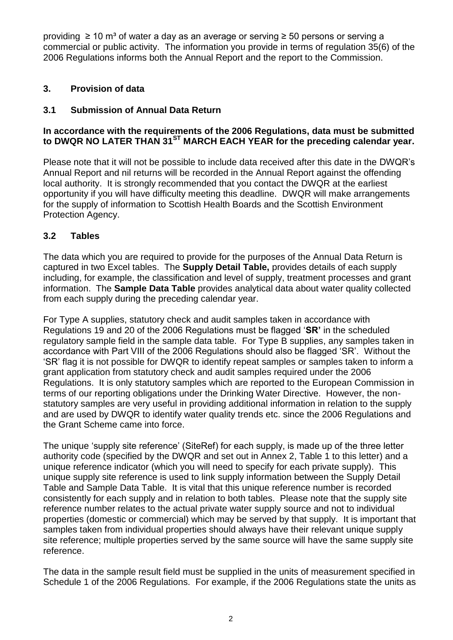providing  $≥ 10$  m<sup>3</sup> of water a day as an average or serving  $≥ 50$  persons or serving a commercial or public activity. The information you provide in terms of regulation 35(6) of the 2006 Regulations informs both the Annual Report and the report to the Commission.

### **3. Provision of data**

### **3.1 Submission of Annual Data Return**

#### **In accordance with the requirements of the 2006 Regulations, data must be submitted to DWQR NO LATER THAN 31ST MARCH EACH YEAR for the preceding calendar year.**

Please note that it will not be possible to include data received after this date in the DWQR's Annual Report and nil returns will be recorded in the Annual Report against the offending local authority. It is strongly recommended that you contact the DWQR at the earliest opportunity if you will have difficulty meeting this deadline. DWQR will make arrangements for the supply of information to Scottish Health Boards and the Scottish Environment Protection Agency.

#### **3.2 Tables**

The data which you are required to provide for the purposes of the Annual Data Return is captured in two Excel tables. The **Supply Detail Table,** provides details of each supply including, for example, the classification and level of supply, treatment processes and grant information. The **Sample Data Table** provides analytical data about water quality collected from each supply during the preceding calendar year.

For Type A supplies, statutory check and audit samples taken in accordance with Regulations 19 and 20 of the 2006 Regulations must be flagged '**SR'** in the scheduled regulatory sample field in the sample data table. For Type B supplies, any samples taken in accordance with Part VIII of the 2006 Regulations should also be flagged 'SR'. Without the 'SR' flag it is not possible for DWQR to identify repeat samples or samples taken to inform a grant application from statutory check and audit samples required under the 2006 Regulations. It is only statutory samples which are reported to the European Commission in terms of our reporting obligations under the Drinking Water Directive. However, the nonstatutory samples are very useful in providing additional information in relation to the supply and are used by DWQR to identify water quality trends etc. since the 2006 Regulations and the Grant Scheme came into force.

The unique 'supply site reference' (SiteRef) for each supply, is made up of the three letter authority code (specified by the DWQR and set out in Annex 2, Table 1 to this letter) and a unique reference indicator (which you will need to specify for each private supply). This unique supply site reference is used to link supply information between the Supply Detail Table and Sample Data Table. It is vital that this unique reference number is recorded consistently for each supply and in relation to both tables. Please note that the supply site reference number relates to the actual private water supply source and not to individual properties (domestic or commercial) which may be served by that supply. It is important that samples taken from individual properties should always have their relevant unique supply site reference; multiple properties served by the same source will have the same supply site reference.

The data in the sample result field must be supplied in the units of measurement specified in Schedule 1 of the 2006 Regulations. For example, if the 2006 Regulations state the units as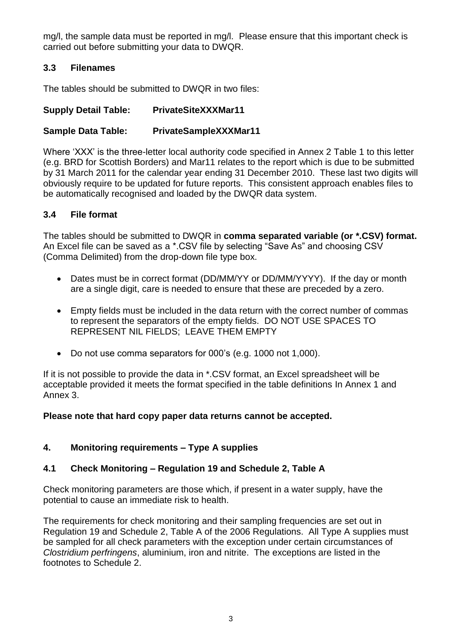mg/l, the sample data must be reported in mg/l. Please ensure that this important check is carried out before submitting your data to DWQR.

### **3.3 Filenames**

The tables should be submitted to DWQR in two files:

## **Supply Detail Table: PrivateSiteXXXMar11**

### **Sample Data Table: PrivateSampleXXXMar11**

Where 'XXX' is the three-letter local authority code specified in Annex 2 Table 1 to this letter (e.g. BRD for Scottish Borders) and Mar11 relates to the report which is due to be submitted by 31 March 2011 for the calendar year ending 31 December 2010. These last two digits will obviously require to be updated for future reports. This consistent approach enables files to be automatically recognised and loaded by the DWQR data system.

### **3.4 File format**

The tables should be submitted to DWQR in **comma separated variable (or \*.CSV) format.**  An Excel file can be saved as a \*.CSV file by selecting "Save As" and choosing CSV (Comma Delimited) from the drop-down file type box.

- Dates must be in correct format (DD/MM/YY or DD/MM/YYYY). If the day or month are a single digit, care is needed to ensure that these are preceded by a zero.
- Empty fields must be included in the data return with the correct number of commas to represent the separators of the empty fields. DO NOT USE SPACES TO REPRESENT NIL FIELDS; LEAVE THEM EMPTY
- Do not use comma separators for 000's (e.g. 1000 not 1,000).

If it is not possible to provide the data in \*.CSV format, an Excel spreadsheet will be acceptable provided it meets the format specified in the table definitions In Annex 1 and Annex 3.

#### **Please note that hard copy paper data returns cannot be accepted.**

#### **4. Monitoring requirements – Type A supplies**

## **4.1 Check Monitoring – Regulation 19 and Schedule 2, Table A**

Check monitoring parameters are those which, if present in a water supply, have the potential to cause an immediate risk to health.

The requirements for check monitoring and their sampling frequencies are set out in Regulation 19 and Schedule 2, Table A of the 2006 Regulations. All Type A supplies must be sampled for all check parameters with the exception under certain circumstances of *Clostridium perfringens*, aluminium, iron and nitrite. The exceptions are listed in the footnotes to Schedule 2.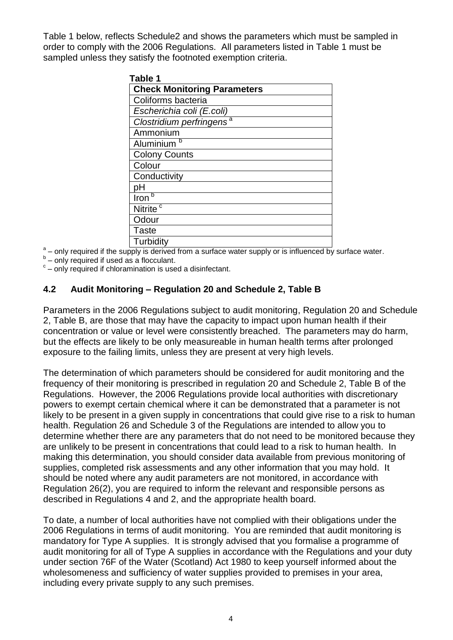Table 1 below, reflects Schedule2 and shows the parameters which must be sampled in order to comply with the 2006 Regulations. All parameters listed in Table 1 must be sampled unless they satisfy the footnoted exemption criteria.

| Table 1                              |
|--------------------------------------|
| <b>Check Monitoring Parameters</b>   |
| Coliforms bacteria                   |
| Escherichia coli (E.coli)            |
| Clostridium perfringens <sup>a</sup> |
| Ammonium                             |
| Aluminium <sup>b</sup>               |
| <b>Colony Counts</b>                 |
| Colour                               |
| Conductivity                         |
| pH                                   |
| b<br>Iron                            |
| Nitrite <sup>c</sup>                 |
| Odour                                |
| <b>Taste</b>                         |
| Turbidity                            |

 $\begin{array}{c} \blacksquare \ \blacksquare \ \blacksquare \end{array}$  Turbidity<br> $\begin{array}{c} \blacksquare \ \blacksquare \end{array}$  a surface water supply or is influenced by surface water.

 $b$  – only required if used as a flocculant.

 $\textdegree$  – only required if chloramination is used a disinfectant.

#### **4.2 Audit Monitoring – Regulation 20 and Schedule 2, Table B**

Parameters in the 2006 Regulations subject to audit monitoring, Regulation 20 and Schedule 2, Table B, are those that may have the capacity to impact upon human health if their concentration or value or level were consistently breached. The parameters may do harm, but the effects are likely to be only measureable in human health terms after prolonged exposure to the failing limits, unless they are present at very high levels.

The determination of which parameters should be considered for audit monitoring and the frequency of their monitoring is prescribed in regulation 20 and Schedule 2, Table B of the Regulations. However, the 2006 Regulations provide local authorities with discretionary powers to exempt certain chemical where it can be demonstrated that a parameter is not likely to be present in a given supply in concentrations that could give rise to a risk to human health. Regulation 26 and Schedule 3 of the Regulations are intended to allow you to determine whether there are any parameters that do not need to be monitored because they are unlikely to be present in concentrations that could lead to a risk to human health. In making this determination, you should consider data available from previous monitoring of supplies, completed risk assessments and any other information that you may hold. It should be noted where any audit parameters are not monitored, in accordance with Regulation 26(2), you are required to inform the relevant and responsible persons as described in Regulations 4 and 2, and the appropriate health board.

To date, a number of local authorities have not complied with their obligations under the 2006 Regulations in terms of audit monitoring. You are reminded that audit monitoring is mandatory for Type A supplies. It is strongly advised that you formalise a programme of audit monitoring for all of Type A supplies in accordance with the Regulations and your duty under section 76F of the Water (Scotland) Act 1980 to keep yourself informed about the wholesomeness and sufficiency of water supplies provided to premises in your area, including every private supply to any such premises.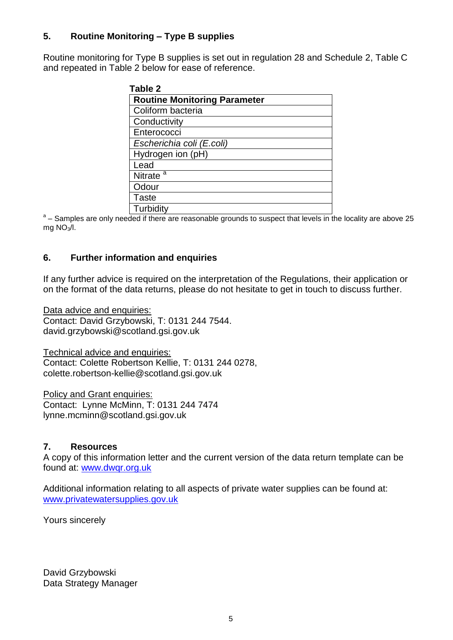### **5. Routine Monitoring – Type B supplies**

Routine monitoring for Type B supplies is set out in regulation 28 and Schedule 2, Table C and repeated in Table 2 below for ease of reference.

| Table 2                             |
|-------------------------------------|
| <b>Routine Monitoring Parameter</b> |
| Coliform bacteria                   |
| Conductivity                        |
| Enterococci                         |
| Escherichia coli (E.coli)           |
| Hydrogen ion (pH)                   |
| Lead                                |
| Nitrate <sup><math>a</math></sup>   |
| Odour                               |
| <b>Taste</b>                        |
| Turbidity                           |

<sup>a</sup> – Samples are only needed if there are reasonable grounds to suspect that levels in the locality are above 25 mg  $NO<sub>3</sub>/I$ .

#### **6. Further information and enquiries**

If any further advice is required on the interpretation of the Regulations, their application or on the format of the data returns, please do not hesitate to get in touch to discuss further.

Data advice and enquiries: Contact: David Grzybowski, T: 0131 244 7544. david.grzybowski@scotland.gsi.gov.uk

Technical advice and enquiries: Contact: Colette Robertson Kellie, T: 0131 244 0278, colette.robertson-kellie@scotland.gsi.gov.uk

Policy and Grant enquiries: Contact: Lynne McMinn, T: 0131 244 7474 lynne.mcminn@scotland.gsi.gov.uk

#### **7. Resources**

A copy of this information letter and the current version of the data return template can be found at: [www.dwqr.org.uk](http://www.dwqr.org.uk/)

Additional information relating to all aspects of private water supplies can be found at: [www.privatewatersupplies.gov.uk](http://www.privatewatersupplies.gov.uk/)

Yours sincerely

David Grzybowski Data Strategy Manager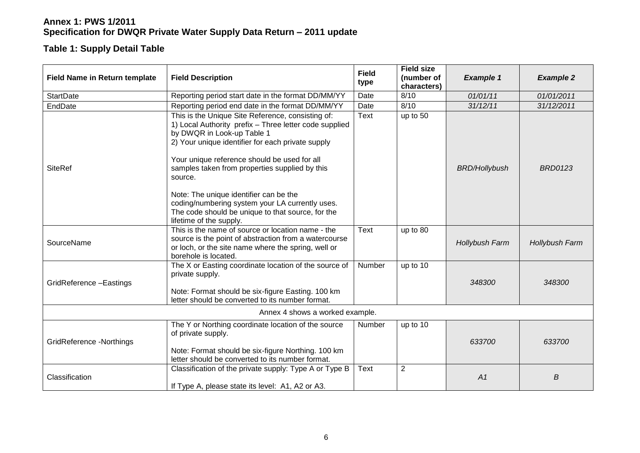### **Table 1: Supply Detail Table**

| <b>Field Name in Return template</b> | <b>Field Description</b>                                                                                                                                                                                                                                                                                                                                                                                                                                                                 | <b>Field</b><br>type | <b>Field size</b><br>(number of<br>characters) | <b>Example 1</b>     | <b>Example 2</b> |
|--------------------------------------|------------------------------------------------------------------------------------------------------------------------------------------------------------------------------------------------------------------------------------------------------------------------------------------------------------------------------------------------------------------------------------------------------------------------------------------------------------------------------------------|----------------------|------------------------------------------------|----------------------|------------------|
| <b>StartDate</b>                     | Reporting period start date in the format DD/MM/YY                                                                                                                                                                                                                                                                                                                                                                                                                                       | Date                 | 8/10                                           | 01/01/11             | 01/01/2011       |
| EndDate                              | Reporting period end date in the format DD/MM/YY                                                                                                                                                                                                                                                                                                                                                                                                                                         | Date                 | 8/10                                           | 31/12/11             | 31/12/2011       |
| <b>SiteRef</b>                       | This is the Unique Site Reference, consisting of:<br>1) Local Authority prefix - Three letter code supplied<br>by DWQR in Look-up Table 1<br>2) Your unique identifier for each private supply<br>Your unique reference should be used for all<br>samples taken from properties supplied by this<br>source.<br>Note: The unique identifier can be the<br>coding/numbering system your LA currently uses.<br>The code should be unique to that source, for the<br>lifetime of the supply. | <b>Text</b>          | up to 50                                       | <b>BRD/Hollybush</b> | <b>BRD0123</b>   |
| SourceName                           | This is the name of source or location name - the<br>source is the point of abstraction from a watercourse<br>or loch, or the site name where the spring, well or<br>borehole is located.                                                                                                                                                                                                                                                                                                | <b>Text</b>          | up to 80                                       | Hollybush Farm       | Hollybush Farm   |
| GridReference-Eastings               | The X or Easting coordinate location of the source of<br>private supply.<br>Note: Format should be six-figure Easting. 100 km<br>letter should be converted to its number format.                                                                                                                                                                                                                                                                                                        | Number               | up to 10                                       | 348300               | 348300           |
|                                      | Annex 4 shows a worked example.                                                                                                                                                                                                                                                                                                                                                                                                                                                          |                      |                                                |                      |                  |
| GridReference -Northings             | The Y or Northing coordinate location of the source<br>of private supply.<br>Note: Format should be six-figure Northing. 100 km<br>letter should be converted to its number format.                                                                                                                                                                                                                                                                                                      | Number               | up to 10                                       | 633700               | 633700           |
| Classification                       | Classification of the private supply: Type A or Type B<br>If Type A, please state its level: A1, A2 or A3.                                                                                                                                                                                                                                                                                                                                                                               | <b>Text</b>          | $\overline{2}$                                 | A1                   | В                |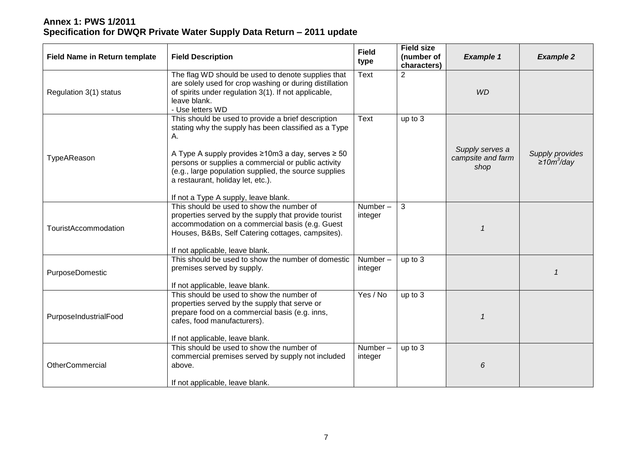| <b>Field Name in Return template</b> | <b>Field Description</b>                                                                                                                                                                                                                                                                                                                                           | <b>Field</b><br>type  | <b>Field size</b><br>(number of<br>characters) | <b>Example 1</b>                             | <b>Example 2</b>                  |
|--------------------------------------|--------------------------------------------------------------------------------------------------------------------------------------------------------------------------------------------------------------------------------------------------------------------------------------------------------------------------------------------------------------------|-----------------------|------------------------------------------------|----------------------------------------------|-----------------------------------|
| Regulation 3(1) status               | The flag WD should be used to denote supplies that<br>are solely used for crop washing or during distillation<br>of spirits under regulation 3(1). If not applicable,<br>leave blank.<br>- Use letters WD                                                                                                                                                          | <b>Text</b>           | $\overline{2}$                                 | <b>WD</b>                                    |                                   |
| TypeAReason                          | This should be used to provide a brief description<br>stating why the supply has been classified as a Type<br>А.<br>A Type A supply provides ≥10m3 a day, serves ≥ 50<br>persons or supplies a commercial or public activity<br>(e.g., large population supplied, the source supplies<br>a restaurant, holiday let, etc.).<br>If not a Type A supply, leave blank. | Text                  | up to 3                                        | Supply serves a<br>campsite and farm<br>shop | Supply provides<br>≥10 $m^3$ /day |
| <b>TouristAccommodation</b>          | This should be used to show the number of<br>properties served by the supply that provide tourist<br>accommodation on a commercial basis (e.g. Guest<br>Houses, B&Bs, Self Catering cottages, campsites).<br>If not applicable, leave blank.                                                                                                                       | $Number -$<br>integer | 3                                              |                                              |                                   |
| PurposeDomestic                      | This should be used to show the number of domestic<br>premises served by supply.<br>If not applicable, leave blank.                                                                                                                                                                                                                                                | Number-<br>integer    | up to 3                                        |                                              |                                   |
| PurposeIndustrialFood                | This should be used to show the number of<br>properties served by the supply that serve or<br>prepare food on a commercial basis (e.g. inns,<br>cafes, food manufacturers).<br>If not applicable, leave blank.                                                                                                                                                     | Yes / No              | up to 3                                        |                                              |                                   |
| <b>OtherCommercial</b>               | This should be used to show the number of<br>commercial premises served by supply not included<br>above.<br>If not applicable, leave blank.                                                                                                                                                                                                                        | Number-<br>integer    | up to 3                                        | 6                                            |                                   |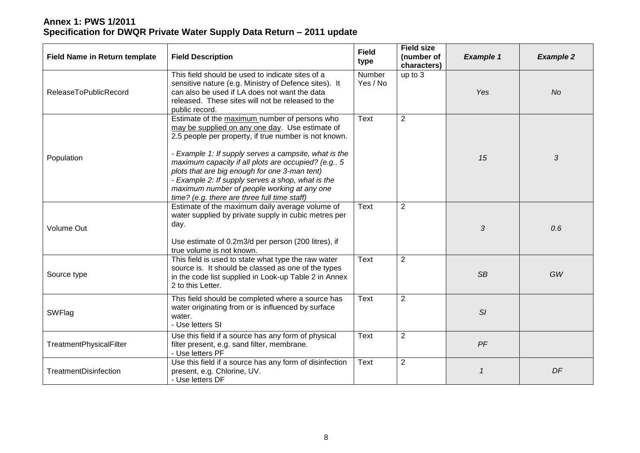| <b>Field Name in Return template</b> | <b>Field Description</b>                                                                                                                                                                                                                                                                                                                                                                                                                                                        | <b>Field</b><br>type | <b>Field size</b><br>(number of<br>characters) | <b>Example 1</b> | <b>Example 2</b> |
|--------------------------------------|---------------------------------------------------------------------------------------------------------------------------------------------------------------------------------------------------------------------------------------------------------------------------------------------------------------------------------------------------------------------------------------------------------------------------------------------------------------------------------|----------------------|------------------------------------------------|------------------|------------------|
| ReleaseToPublicRecord                | This field should be used to indicate sites of a<br>sensitive nature (e.g. Ministry of Defence sites). It<br>can also be used if LA does not want the data<br>released. These sites will not be released to the<br>public record.                                                                                                                                                                                                                                               | Number<br>Yes / No   | up to 3                                        | Yes              | No               |
| Population                           | Estimate of the maximum number of persons who<br>may be supplied on any one day. Use estimate of<br>2.5 people per property, if true number is not known.<br>- Example 1: If supply serves a campsite, what is the<br>maximum capacity if all plots are occupied? (e.g., 5<br>plots that are big enough for one 3-man tent)<br>- Example 2: If supply serves a shop, what is the<br>maximum number of people working at any one<br>time? (e.g. there are three full time staff) | Text                 | $\overline{2}$                                 | 15               | 3                |
| <b>Volume Out</b>                    | Estimate of the maximum daily average volume of<br>water supplied by private supply in cubic metres per<br>day.<br>Use estimate of 0.2m3/d per person (200 litres), if<br>true volume is not known.                                                                                                                                                                                                                                                                             | <b>Text</b>          | $\overline{2}$                                 | 3                | 0.6              |
| Source type                          | This field is used to state what type the raw water<br>source is. It should be classed as one of the types<br>in the code list supplied in Look-up Table 2 in Annex<br>2 to this Letter.                                                                                                                                                                                                                                                                                        | <b>Text</b>          | $\overline{2}$                                 | <b>SB</b>        | GW               |
| SWFlag                               | This field should be completed where a source has<br>water originating from or is influenced by surface<br>water.<br>- Use letters SI                                                                                                                                                                                                                                                                                                                                           | <b>Text</b>          | $\overline{2}$                                 | SI               |                  |
| <b>TreatmentPhysicalFilter</b>       | Use this field if a source has any form of physical<br>filter present, e.g. sand filter, membrane.<br>- Use letters PF                                                                                                                                                                                                                                                                                                                                                          | <b>Text</b>          | $\overline{2}$                                 | PF               |                  |
| <b>TreatmentDisinfection</b>         | Use this field if a source has any form of disinfection<br>present, e.g. Chlorine, UV.<br>- Use letters DF                                                                                                                                                                                                                                                                                                                                                                      | Text                 | $\overline{2}$                                 | $\mathbf{1}$     | DF               |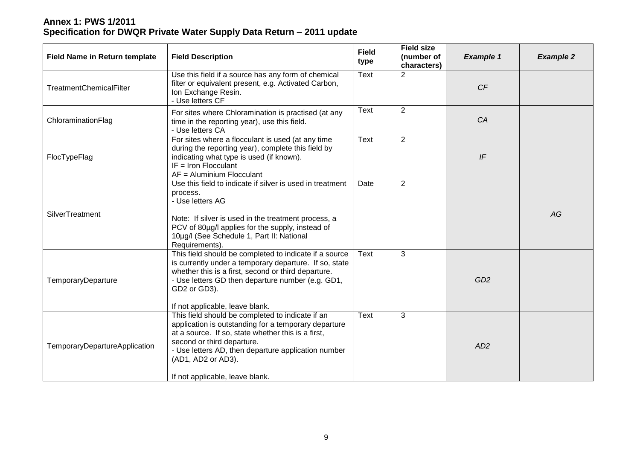| <b>Field Name in Return template</b> | <b>Field Description</b>                                                                                                                                                                                                                                                                                     | <b>Field</b><br>type | <b>Field size</b><br>(number of<br>characters) | <b>Example 1</b> | <b>Example 2</b> |
|--------------------------------------|--------------------------------------------------------------------------------------------------------------------------------------------------------------------------------------------------------------------------------------------------------------------------------------------------------------|----------------------|------------------------------------------------|------------------|------------------|
| <b>TreatmentChemicalFilter</b>       | Use this field if a source has any form of chemical<br>filter or equivalent present, e.g. Activated Carbon,<br>Ion Exchange Resin.<br>- Use letters CF                                                                                                                                                       | <b>Text</b>          | $\overline{2}$                                 | CF               |                  |
| ChloraminationFlag                   | For sites where Chloramination is practised (at any<br>time in the reporting year), use this field.<br>- Use letters CA                                                                                                                                                                                      | <b>Text</b>          | $\overline{2}$                                 | CA               |                  |
| FlocTypeFlag                         | For sites where a flocculant is used (at any time<br>during the reporting year), complete this field by<br>indicating what type is used (if known).<br>$IF = Iron Flocculant$<br>AF = Aluminium Flocculant                                                                                                   | <b>Text</b>          | $\overline{2}$                                 | IF               |                  |
| SilverTreatment                      | Use this field to indicate if silver is used in treatment<br>process.<br>- Use letters AG<br>Note: If silver is used in the treatment process, a<br>PCV of 80µg/l applies for the supply, instead of<br>10µg/l (See Schedule 1, Part II: National<br>Requirements).                                          | Date                 | $\overline{2}$                                 |                  | AG               |
| TemporaryDeparture                   | This field should be completed to indicate if a source<br>is currently under a temporary departure. If so, state<br>whether this is a first, second or third departure.<br>- Use letters GD then departure number (e.g. GD1,<br>GD2 or GD3).<br>If not applicable, leave blank.                              | Text                 | 3                                              | GD <sub>2</sub>  |                  |
| TemporaryDepartureApplication        | This field should be completed to indicate if an<br>application is outstanding for a temporary departure<br>at a source. If so, state whether this is a first,<br>second or third departure.<br>- Use letters AD, then departure application number<br>(AD1, AD2 or AD3).<br>If not applicable, leave blank. | <b>Text</b>          | 3                                              | AD2              |                  |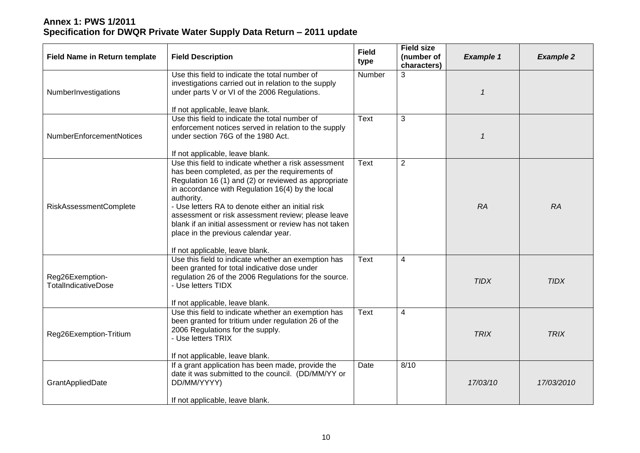| <b>Field Name in Return template</b>          | <b>Field Description</b>                                                                                                                                                                                                                                                                                                                                                                                                                                                         | <b>Field</b><br>type | <b>Field size</b><br>(number of<br>characters) | <b>Example 1</b>        | <b>Example 2</b> |
|-----------------------------------------------|----------------------------------------------------------------------------------------------------------------------------------------------------------------------------------------------------------------------------------------------------------------------------------------------------------------------------------------------------------------------------------------------------------------------------------------------------------------------------------|----------------------|------------------------------------------------|-------------------------|------------------|
| NumberInvestigations                          | Use this field to indicate the total number of<br>investigations carried out in relation to the supply<br>under parts V or VI of the 2006 Regulations.<br>If not applicable, leave blank.                                                                                                                                                                                                                                                                                        | <b>Number</b>        | 3                                              | $\mathbf{\overline{1}}$ |                  |
| <b>NumberEnforcementNotices</b>               | Use this field to indicate the total number of<br>enforcement notices served in relation to the supply<br>under section 76G of the 1980 Act.<br>If not applicable, leave blank.                                                                                                                                                                                                                                                                                                  | Text                 | 3                                              | $\mathbf{1}$            |                  |
| <b>RiskAssessmentComplete</b>                 | Use this field to indicate whether a risk assessment<br>has been completed, as per the requirements of<br>Regulation 16 (1) and (2) or reviewed as appropriate<br>in accordance with Regulation 16(4) by the local<br>authority.<br>- Use letters RA to denote either an initial risk<br>assessment or risk assessment review; please leave<br>blank if an initial assessment or review has not taken<br>place in the previous calendar year.<br>If not applicable, leave blank. | <b>Text</b>          | $\overline{2}$                                 | RA                      | <b>RA</b>        |
| Reg26Exemption-<br><b>TotalIndicativeDose</b> | Use this field to indicate whether an exemption has<br>been granted for total indicative dose under<br>regulation 26 of the 2006 Regulations for the source.<br>- Use letters TIDX<br>If not applicable, leave blank.                                                                                                                                                                                                                                                            | <b>Text</b>          | $\overline{\mathbf{4}}$                        | <b>TIDX</b>             | <b>TIDX</b>      |
| Reg26Exemption-Tritium                        | Use this field to indicate whether an exemption has<br>been granted for tritium under regulation 26 of the<br>2006 Regulations for the supply.<br>- Use letters TRIX<br>If not applicable, leave blank.                                                                                                                                                                                                                                                                          | <b>Text</b>          | 4                                              | <b>TRIX</b>             | <b>TRIX</b>      |
| GrantAppliedDate                              | If a grant application has been made, provide the<br>date it was submitted to the council. (DD/MM/YY or<br>DD/MM/YYYY)<br>If not applicable, leave blank.                                                                                                                                                                                                                                                                                                                        | Date                 | 8/10                                           | 17/03/10                | 17/03/2010       |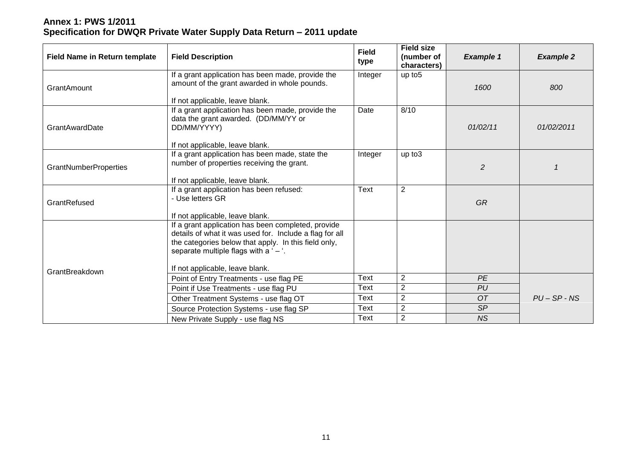| <b>Field Name in Return template</b> | <b>Field Description</b>                                                    | <b>Field</b><br>type | <b>Field size</b><br>(number of<br>characters) | <b>Example 1</b> | <b>Example 2</b> |
|--------------------------------------|-----------------------------------------------------------------------------|----------------------|------------------------------------------------|------------------|------------------|
|                                      | If a grant application has been made, provide the                           | Integer              | up to 5                                        |                  |                  |
| GrantAmount                          | amount of the grant awarded in whole pounds.                                |                      |                                                | 1600             | 800              |
|                                      | If not applicable, leave blank.                                             |                      |                                                |                  |                  |
|                                      | If a grant application has been made, provide the                           | Date                 | 8/10                                           |                  |                  |
|                                      | data the grant awarded. (DD/MM/YY or                                        |                      |                                                |                  |                  |
| <b>GrantAwardDate</b>                | DD/MM/YYYY)                                                                 |                      |                                                | 01/02/11         | 01/02/2011       |
|                                      | If not applicable, leave blank.                                             |                      |                                                |                  |                  |
|                                      | If a grant application has been made, state the                             | Integer              | up to3                                         |                  |                  |
| <b>GrantNumberProperties</b>         | number of properties receiving the grant.                                   |                      |                                                | $\overline{2}$   |                  |
|                                      |                                                                             |                      |                                                |                  |                  |
|                                      | If not applicable, leave blank.<br>If a grant application has been refused: | <b>Text</b>          | $\overline{2}$                                 |                  |                  |
|                                      | - Use letters GR                                                            |                      |                                                |                  |                  |
| GrantRefused                         |                                                                             |                      |                                                | <b>GR</b>        |                  |
|                                      | If not applicable, leave blank.                                             |                      |                                                |                  |                  |
|                                      | If a grant application has been completed, provide                          |                      |                                                |                  |                  |
|                                      | details of what it was used for. Include a flag for all                     |                      |                                                |                  |                  |
|                                      | the categories below that apply. In this field only,                        |                      |                                                |                  |                  |
|                                      | separate multiple flags with a ' $-$ '.                                     |                      |                                                |                  |                  |
| GrantBreakdown                       | If not applicable, leave blank.                                             |                      |                                                |                  |                  |
|                                      | Point of Entry Treatments - use flag PE                                     | <b>Text</b>          | $\overline{2}$                                 | <b>PE</b>        |                  |
|                                      | Point if Use Treatments - use flag PU                                       | Text                 | $\overline{2}$                                 | PU               |                  |
|                                      | Other Treatment Systems - use flag OT                                       | Text                 | $\sqrt{2}$                                     | <b>OT</b>        | $PU - SP - NS$   |
|                                      | Source Protection Systems - use flag SP                                     | Text                 | $\overline{2}$                                 | SP               |                  |
|                                      | New Private Supply - use flag NS                                            | Text                 | $\overline{2}$                                 | <b>NS</b>        |                  |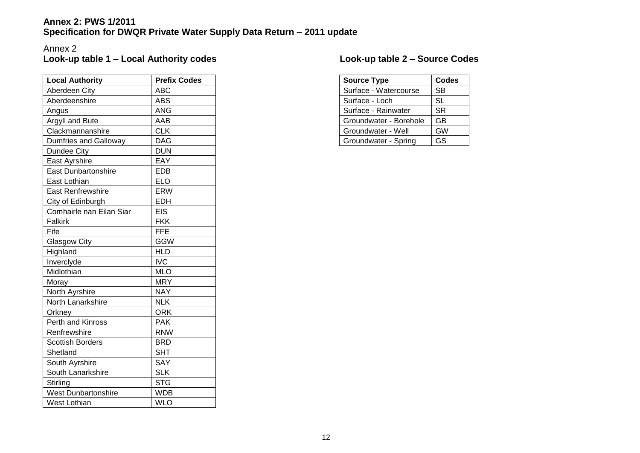#### Annex 2 **Look-up table 1 – Local Authority codes**

| <b>Local Authority</b>       | <b>Prefix Codes</b> |
|------------------------------|---------------------|
| Aberdeen City                | <b>ABC</b>          |
| Aberdeenshire                | <b>ABS</b>          |
| Angus                        | <b>ANG</b>          |
| Argyll and Bute              | AAB                 |
| Clackmannanshire             | <b>CLK</b>          |
| <b>Dumfries and Galloway</b> | <b>DAG</b>          |
| Dundee City                  | <b>DUN</b>          |
| East Ayrshire                | EAY                 |
| <b>East Dunbartonshire</b>   | <b>EDB</b>          |
| East Lothian                 | <b>ELO</b>          |
| <b>East Renfrewshire</b>     | <b>ERW</b>          |
| City of Edinburgh            | <b>EDH</b>          |
| Comhairle nan Eilan Siar     | <b>EIS</b>          |
| <b>Falkirk</b>               | <b>FKK</b>          |
| Fife                         | <b>FFE</b>          |
| <b>Glasgow City</b>          | <b>GGW</b>          |
| Highland                     | <b>HLD</b>          |
| Inverclyde                   | <b>IVC</b>          |
| Midlothian                   | <b>MLO</b>          |
| Moray                        | <b>MRY</b>          |
| North Ayrshire               | <b>NAY</b>          |
| North Lanarkshire            | <b>NLK</b>          |
| Orkney                       | <b>ORK</b>          |
| <b>Perth and Kinross</b>     | <b>PAK</b>          |
| Renfrewshire                 | <b>RNW</b>          |
| <b>Scottish Borders</b>      | <b>BRD</b>          |
| Shetland                     | <b>SHT</b>          |
| South Ayrshire               | SAY                 |
| South Lanarkshire            | <b>SLK</b>          |
| Stirling                     | <b>STG</b>          |
| <b>West Dunbartonshire</b>   | <b>WDB</b>          |
| <b>West Lothian</b>          | <b>WLO</b>          |

# **Look-up table 2 – Source Codes**

| <b>Source Type</b>     | <b>Codes</b> |
|------------------------|--------------|
| Surface - Watercourse  | SB           |
| Surface - Loch         | SL           |
| Surface - Rainwater    | <b>SR</b>    |
| Groundwater - Borehole | GB           |
| Groundwater - Well     | GW           |
| Groundwater - Spring   | GS           |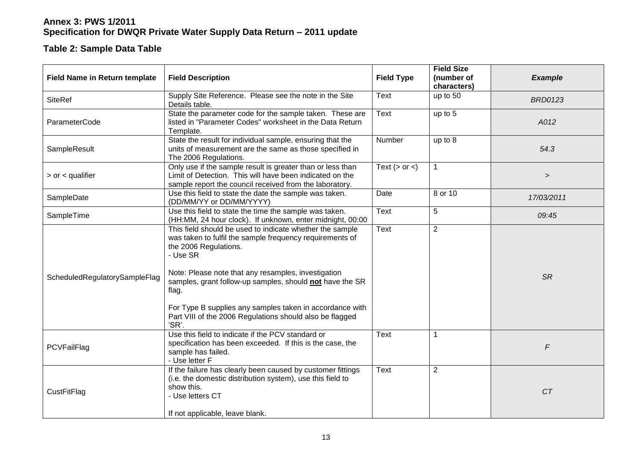#### **Table 2: Sample Data Table**

| <b>Field Name in Return template</b> | <b>Field Description</b>                                                                                                                                                                                                                                                              | <b>Field Type</b>  | <b>Field Size</b><br>(number of | <b>Example</b> |
|--------------------------------------|---------------------------------------------------------------------------------------------------------------------------------------------------------------------------------------------------------------------------------------------------------------------------------------|--------------------|---------------------------------|----------------|
|                                      |                                                                                                                                                                                                                                                                                       |                    | characters)                     |                |
| <b>SiteRef</b>                       | Supply Site Reference. Please see the note in the Site<br>Details table.                                                                                                                                                                                                              | Text               | up to 50                        | <b>BRD0123</b> |
| ParameterCode                        | State the parameter code for the sample taken. These are<br>listed in "Parameter Codes" worksheet in the Data Return<br>Template.                                                                                                                                                     | Text               | up to 5                         | A012           |
| SampleResult                         | State the result for individual sample, ensuring that the<br>units of measurement are the same as those specified in<br>The 2006 Regulations.                                                                                                                                         | Number             | up to 8                         | 54.3           |
| $>$ or $<$ qualifier                 | Only use if the sample result is greater than or less than<br>Limit of Detection. This will have been indicated on the<br>sample report the council received from the laboratory.                                                                                                     | Text $(>$ or $<$ ) | $\mathbf{1}$                    | $\,$           |
| SampleDate                           | Use this field to state the date the sample was taken.<br>(DD/MM/YY or DD/MM/YYYY)                                                                                                                                                                                                    | Date               | 8 or 10                         | 17/03/2011     |
| SampleTime                           | Use this field to state the time the sample was taken.<br>(HH:MM, 24 hour clock). If unknown, enter midnight, 00:00                                                                                                                                                                   | <b>Text</b>        | $\sqrt{5}$                      | 09:45          |
| ScheduledRegulatorySampleFlag        | This field should be used to indicate whether the sample<br>was taken to fulfil the sample frequency requirements of<br>the 2006 Regulations.<br>- Use SR<br>Note: Please note that any resamples, investigation<br>samples, grant follow-up samples, should not have the SR<br>flag. | Text               | $\overline{2}$                  | <b>SR</b>      |
|                                      | For Type B supplies any samples taken in accordance with<br>Part VIII of the 2006 Regulations should also be flagged<br>'SR'.                                                                                                                                                         |                    |                                 |                |
| PCVFailFlag                          | Use this field to indicate if the PCV standard or<br>specification has been exceeded. If this is the case, the<br>sample has failed.<br>- Use letter F                                                                                                                                | <b>Text</b>        | 1                               | F              |
| CustFitFlag                          | If the failure has clearly been caused by customer fittings<br>(i.e. the domestic distribution system), use this field to<br>show this.<br>- Use letters CT<br>If not applicable, leave blank.                                                                                        | <b>Text</b>        | 2                               | CT             |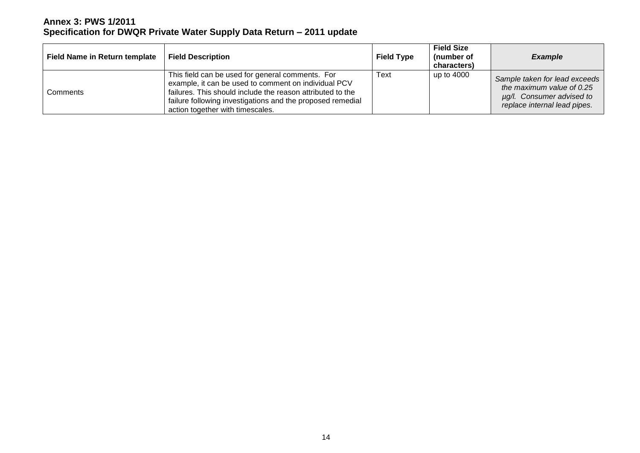| <b>Field Name in Return template</b> | <b>Field Description</b>                                                                                                                                                                                                                                                 | <b>Field Type</b> | <b>Field Size</b><br>(number of<br>characters) | <b>Example</b>                                                                                                          |
|--------------------------------------|--------------------------------------------------------------------------------------------------------------------------------------------------------------------------------------------------------------------------------------------------------------------------|-------------------|------------------------------------------------|-------------------------------------------------------------------------------------------------------------------------|
| Comments                             | This field can be used for general comments. For<br>example, it can be used to comment on individual PCV<br>failures. This should include the reason attributed to the<br>failure following investigations and the proposed remedial<br>action together with timescales. | Text              | up to 4000                                     | Sample taken for lead exceeds<br>the maximum value of 0.25<br>ug/l. Consumer advised to<br>replace internal lead pipes. |